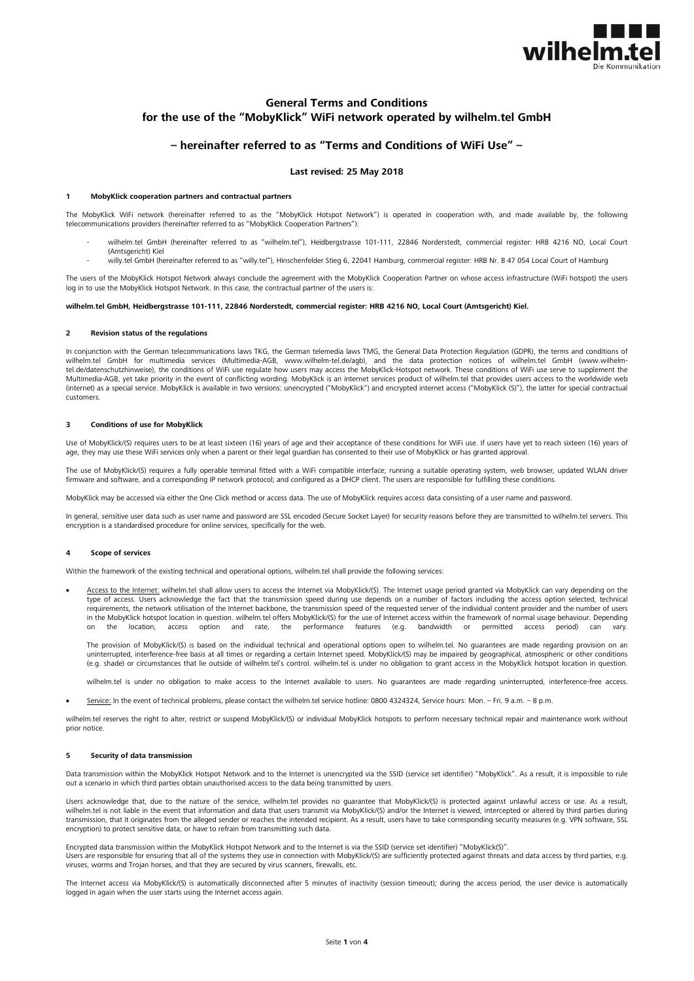

# **General Terms and Conditions for the use of the "MobyKlick" WiFi network operated by wilhelm.tel GmbH**

# **– hereinafter referred to as "Terms and Conditions of WiFi Use" –**

# **Last revised: 25 May 2018**

# **1 MobyKlick cooperation partners and contractual partners**

The MobyKlick WiFi network (hereinafter referred to as the "MobyKlick Hotspot Network") is operated in cooperation with, and made available by, the following<br>telecommunications providers (hereinafter referred to as "MobyKl

- wilhelm.tel GmbH (hereinafter referred to as "wilhelm.tel"), Heidbergstrasse 101-111, 22846 Norderstedt, commercial register: HRB 4216 NO, Local Court (Amtsgericht) Kiel
- willy.tel GmbH (hereinafter referred to as "willy.tel"), Hinschenfelder Stieg 6, 22041 Hamburg, commercial register: HRB Nr. B 47 054 Local Court of Hamburg

The users of the MobyKlick Hotspot Network always conclude the agreement with the MobyKlick Cooperation Partner on whose access infrastructure (WiFi hotspot) the users log in to use the MobyKlick Hotspot Network. In this case, the contractual partner of the users is:

#### **wilhelm.tel GmbH, Heidbergstrasse 101-111, 22846 Norderstedt, commercial register: HRB 4216 NO, Local Court (Amtsgericht) Kiel.**

#### **2 Revision status of the regulations**

In conjunction with the German telecommunications laws TKG, the German telemedia laws TMG, the General Data Protection Regulation (GDPR), the terms and conditions of wilhelm.tel GmbH for multimedia services (Multimedia-AGB, www.wilhelm-tel.de/agb), and the data protection notices of wilhelm.tel GmbH (www.wilhelm-<br>tel.de/datenschutzhinweise), the conditions of WiFi use regulate how user Multimedia-AGB, yet take priority in the event of conflicting wording. MobyKlick is an internet services product of wilhelm.tel that provides users access to the worldwide web (internet) as a special service. MobyKlick is available in two versions: unencrypted ("MobyKlick") and encrypted internet access ("MobyKlick (S)"), the latter for special contractual customers.

#### **3 Conditions of use for MobyKlick**

Use of MobyKlick/(S) requires users to be at least sixteen (16) years of age and their acceptance of these conditions for WiFi use. If users have yet to reach sixteen (16) years of age, they may use these WiFi services only when a parent or their legal quardian has consented to their use of MobyKlick or has granted approval.

The use of MobyKlick/(S) requires a fully operable terminal fitted with a WiFi compatible interface; running a suitable operating system, web browser, updated WLAN driver firmware and software, and a corresponding IP network protocol; and configured as a DHCP client. The users are responsible for fulfilling these conditions.

MobyKlick may be accessed via either the One Click method or access data. The use of MobyKlick requires access data consisting of a user name and password.

In general, sensitive user data such as user name and password are SSL encoded (Secure Socket Layer) for security reasons before they are transmitted to wilhelm.tel servers. This encryption is a standardised procedure for online services, specifically for the web.

### **4 Scope of services**

Within the framework of the existing technical and operational options, wilhelm.tel shall provide the following services:

• Access to the Internet: wilhelm.tel shall allow users to access the Internet via MobyKlick/(S). The Internet usage period granted via MobyKlick can vary depending on the type of access. Users acknowledge the fact that th requirements, the network utilisation of the Internet backbone, the transmission speed of the requested server of the individual content provider and the number of users in the MobyKlick hotspot location in question. wilhelm.tel offers MobyKlick/(S) for the use of Internet access within the framework of normal usage behaviour. Depending<br>on the location, access option and rate, the performa on the location, access option and rate, the performance features (e.g. bandwidth or permitted access period) can vary.

The provision of MobyKlick/(S) is based on the individual technical and operational options open to wilhelm.tel. No quarantees are made regarding provision on an uninterrupted, interference-free basis at all times or regarding a certain Internet speed. MobyKlick/(S) may be impaired by geographical, atmospheric or other conditions (e.g. shade) or circumstances that lie outside of wilhelm.tel's control. wilhelm.tel is under no obligation to grant access in the MobyKlick hotspot location in question.

wilhelm.tel is under no obligation to make access to the Internet available to users. No guarantees are made regarding uninterrupted, interference-free access.

• Service: In the event of technical problems, please contact the wilhelm.tel service hotline: 0800 4324324, Service hours: Mon. – Fri. 9 a.m. – 8 p.m.

wilhelm.tel reserves the right to alter, restrict or suspend MobyKlick/(S) or individual MobyKlick hotspots to perform necessary technical repair and maintenance work without prior notice.

### **5 Security of data transmission**

Data transmission within the MobyKlick Hotspot Network and to the Internet is unencrypted via the SSID (service set identifier) "MobyKlick". As a result, it is impossible to rule out a scenario in which third parties obtain unauthorised access to the data being transmitted by users.

Users acknowledge that, due to the nature of the service, wilhelm.tel provides no guarantee that MobyKlick/(S) is protected against unlawful access or use. As a result, wilhelm.tel is not liable in the event that information and data that users transmit via MobyKlick/(S) and/or the Internet is viewed, intercepted or altered by third parties during transmission, that it originates from the alleged sender or reaches the intended recipient. As a result, users have to take corresponding security measures (e.g. VPN software, SSL encryption) to protect sensitive data, or have to refrain from transmitting such data.

Encrypted data transmission within the MobyKlick Hotspot Network and to the Internet is via the SSID (service set identifier) "MobyKlick(S)". Users are responsible for ensuring that all of the systems they use in connection with MobyKlick/(S) are sufficiently protected against threats and data access by third parties, e.g. viruses, worms and Trojan horses, and that they are secured by virus scanners, firewalls, etc.

The Internet access via MobyKlick/(S) is automatically disconnected after 5 minutes of inactivity (session timeout); during the access period, the user device is automatically logged in again when the user starts using the Internet access again.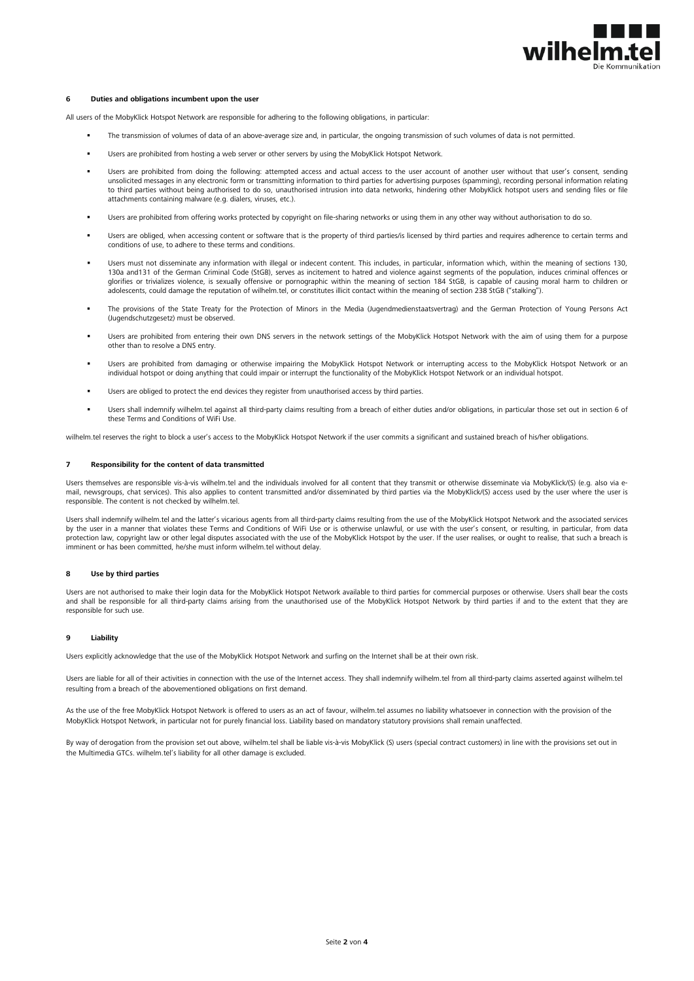

# **6 Duties and obligations incumbent upon the user**

All users of the MobyKlick Hotspot Network are responsible for adhering to the following obligations, in particular:

- The transmission of volumes of data of an above-average size and, in particular, the ongoing transmission of such volumes of data is not permitted.
- Users are prohibited from hosting a web server or other servers by using the MobyKlick Hotspot Network.
- Users are prohibited from doing the following: attempted access and actual access to the user account of another user without that user's consent, sending unsolicited messages in any electronic form or transmitting information to third parties for advertising purposes (spamming), recording personal information relating to third parties without being authorised to do so, unauthorised intrusion into data networks, hindering other MobyKlick hotspot users and sending files or file attachments containing malware (e.g. dialers, viruses, etc.).
- Users are prohibited from offering works protected by copyright on file-sharing networks or using them in any other way without authorisation to do so.
- Users are obliged, when accessing content or software that is the property of third parties/is licensed by third parties and requires adherence to certain terms and conditions of use, to adhere to these terms and conditions.
- Users must not disseminate any information with illegal or indecent content. This includes, in particular, information which, within the meaning of sections 130, 130a and131 of the German Criminal Code (StGB), serves as incitement to hatred and violence against segments of the population, induces criminal offences or glorifies or trivializes violence, is sexually offensive or pornographic within the meaning of section 184 StGB, is capable of causing moral harm to children or adolescents, could damage the reputation of wilhelm.tel, or constitutes illicit contact within the meaning of section 238 StGB ("stalking").
- The provisions of the State Treaty for the Protection of Minors in the Media (Jugendmedienstaatsvertrag) and the German Protection of Young Persons Act (Jugendschutzgesetz) must be observed.
- Users are prohibited from entering their own DNS servers in the network settings of the MobyKlick Hotspot Network with the aim of using them for a purpose other than to resolve a DNS entry.
- Users are prohibited from damaging or otherwise impairing the MobyKlick Hotspot Network or interrupting access to the MobyKlick Hotspot Network or an individual hotspot or doing anything that could impair or interrupt the functionality of the MobyKlick Hotspot Network or an individual hotspot.
- Users are obliged to protect the end devices they register from unauthorised access by third parties.
- Users shall indemnify wilhelm.tel against all third-party claims resulting from a breach of either duties and/or obligations, in particular those set out in section 6 of these Terms and Conditions of WiFi Use.

wilhelm.tel reserves the right to block a user's access to the MobyKlick Hotspot Network if the user commits a significant and sustained breach of his/her obligations.

# **7 Responsibility for the content of data transmitted**

Users themselves are responsible vis-à-vis wilhelm.tel and the individuals involved for all content that they transmit or otherwise disseminate via MobyKlick/(S) (e.g. also via email, newsgroups, chat services). This also applies to content transmitted and/or disseminated by third parties via the MobyKlick/(S) access used by the user where the user is responsible. The content is not checked by wilhelm.tel.

Users shall indemnify wilhelm.tel and the latter's vicarious agents from all third-party claims resulting from the use of the MobyKlick Hotspot Network and the associated services by the user in a manner that violates these Terms and Conditions of WiFi Use or is otherwise unlawful, or use with the user's consent, or resulting, in particular, from data protection law, copyright law or other legal disputes associated with the use of the MobyKlick Hotspot by the user. If the user realises, or ought to realise, that such a breach is imminent or has been committed, he/she must inform wilhelm.tel without delay.

#### **8 Use by third parties**

Users are not authorised to make their login data for the MobyKlick Hotspot Network available to third parties for commercial purposes or otherwise. Users shall bear the costs and shall be responsible for all third-party claims arising from the unauthorised use of the MobyKlick Hotspot Network by third parties if and to the extent that they are responsible for such use.

# **9 Liability**

Users explicitly acknowledge that the use of the MobyKlick Hotspot Network and surfing on the Internet shall be at their own risk.

Users are liable for all of their activities in connection with the use of the Internet access. They shall indemnify wilhelm.tel from all third-party claims asserted against wilhelm.tel resulting from a breach of the abovementioned obligations on first demand.

As the use of the free MobyKlick Hotspot Network is offered to users as an act of favour, wilhelm.tel assumes no liability whatsoever in connection with the provision of the MobyKlick Hotspot Network, in particular not for purely financial loss. Liability based on mandatory statutory provisions shall remain unaffected.

By way of derogation from the provision set out above, wilhelm.tel shall be liable vis-à-vis MobyKlick (S) users (special contract customers) in line with the provisions set out in the Multimedia GTCs. wilhelm.tel's liability for all other damage is excluded.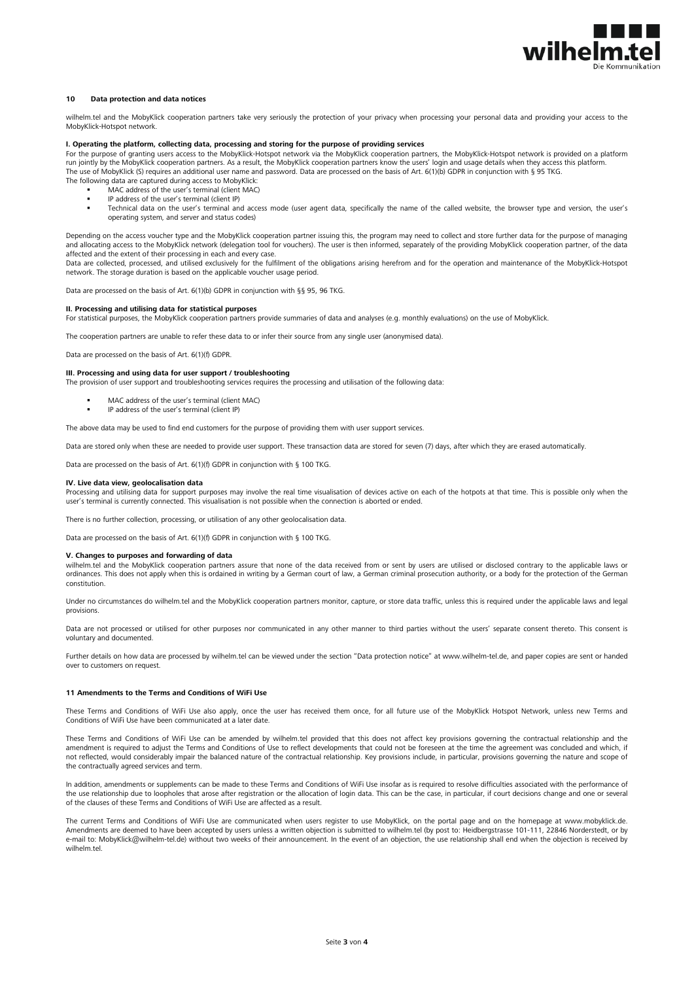

# **10 Data protection and data notices**

wilhelm.tel and the MobyKlick cooperation partners take very seriously the protection of your pivacy when processing your personal data and providing your access to the MobyKlick-Hotspot network.

#### **I. Operating the platform, collecting data, processing and storing for the purpose of providing services**

For the purpose of granting users access to the MobyKlick-Hotspot network via the MobyKlick cooperation partners, the MobyKlick-Hotspot network is provided on a platform run jointly by the MobyKlick cooperation partners. As a result, the MobyKlick cooperation partners know the users' login and usage details when they access this platform. The use of MobyKlick (S) requires an additional user name and password. Data are processed on the basis of Art. 6(1)(b) GDPR in conjunction with § 95 TKG. The following data are captured during access to MobyKlick:

- MAC address of the user's terminal (client MAC)
- IP address of the user's terminal (client IP)
- Technical data on the user's terminal and access mode (user agent data, specifically the name of the called website, the browser type and version, the user's operating system, and server and status codes)

Depending on the access voucher type and the MobyKlick cooperation partner issuing this, the program may need to collect and store further data for the purpose of managing and allocating access to the MobyKlick network (delegation tool for vouchers). The user is then informed, separately of the providing MobyKlick cooperation partner, of the data affected and the extent of their processing in each and every case

and the collected, processed, and utilised exclusively for the fulfilment of the obligations arising herefrom and for the operation and maintenance of the MobyKlick-Hotspot network. The storage duration is based on the applicable voucher usage period.

Data are processed on the basis of Art. 6(1)(b) GDPR in conjunction with §§ 95, 96 TKG.

**II. Processing and utilising data for statistical purposes**<br>For statistical purposes, the MobyKlick cooperation partners provide summaries of data and analyses (e.g. monthly evaluations) on the use of MobyKlick.

The cooperation partners are unable to refer these data to or infer their source from any single user (anonymised data).

Data are processed on the basis of Art. 6(1)(f) GDPR.

## **III. Processing and using data for user support / troubleshooting**

The provision of user support and troubleshooting services requires the processing and utilisation of the following data:

- MAC address of the user's terminal (client MAC)
- IP address of the user's terminal (client IP)

The above data may be used to find end customers for the purpose of providing them with user support services.

Data are stored only when these are needed to provide user support. These transaction data are stored for seven (7) days, after which they are erased automatically

Data are processed on the basis of Art. 6(1)(f) GDPR in conjunction with § 100 TKG.

#### **IV. Live data view, geolocalisation data**

Processing and utilising data for support purposes may involve the real time visualisation of devices active on each of the hotpots at that time. This is possible only when the user's terminal is currently connected. This visualisation is not possible when the connection is aborted or ended.

There is no further collection, processing, or utilisation of any other geolocalisation data.

Data are processed on the basis of Art. 6(1)(f) GDPR in conjunction with § 100 TKG.

#### **V. Changes to purposes and forwarding of data**

wilhelm.tel and the MobyKlick cooperation partners assure that none of the data received from or sent by users are utilised or disclosed contrary to the applicable laws or ordinances. This does not apply when this is ordained in writing by a German court of law, a German criminal prosecution authority, or a body for the protection of the German constitution.

Under no circumstances do wilhelm.tel and the MobyKlick cooperation partners monitor, capture, or store data traffic, unless this is required under the applicable laws and legal provisions.

Data are not processed or utilised for other purposes nor communicated in any other manner to third parties without the users' separate consent thereto. This consent is voluntary and documented.

Further details on how data are processed by wilhelm.tel can be viewed under the section "Data protection notice" at www.wilhelm-tel.de, and paper copies are sent or handed over to customers on request.

# **11 Amendments to the Terms and Conditions of WiFi Use**

These Terms and Conditions of WiFi Use also apply, once the user has received them once, for all future use of the MobyKlick Hotspot Network, unless new Terms and Conditions of WiFi Use have been communicated at a later date.

These Terms and Conditions of WiFi Use can be amended by wilhelm.tel provided that this does not affect key provisions governing the contractual relationship and the amendment is required to adjust the Terms and Conditions of Use to reflect developments that could not be foreseen at the time the agreement was concluded and which, if not reflected, would considerably impair the balanced nature of the contractual relationship. Key provisions include, in particular, provisions governing the nature and scope of the contractually agreed services and term.

In addition, amendments or supplements can be made to these Terms and Conditions of WiFi Use insofar as is required to resolve difficulties associated with the performance of the use relationship due to loopholes that arose after registration or the allocation of login data. This can be the case, in particular, if court decisions change and one or several of the clauses of these Terms and Conditions of WiFi Use are affected as a result.

The current Terms and Conditions of WiFi Use are communicated when users register to use MobyKlick, on the portal page and on the homepage at www.mobyklick.de. Amendments are deemed to have been accepted by users unless a written objection is submitted to wilhelm.tel (by post to: Heidbergstrasse 101-111, 22846 Norderstedt, or by e-mail to: MobyKlick@wilhelm-tel.de) without two weeks of their announcement. In the event of an objection, the use relationship shall end when the objection is received by wilhelm tel.